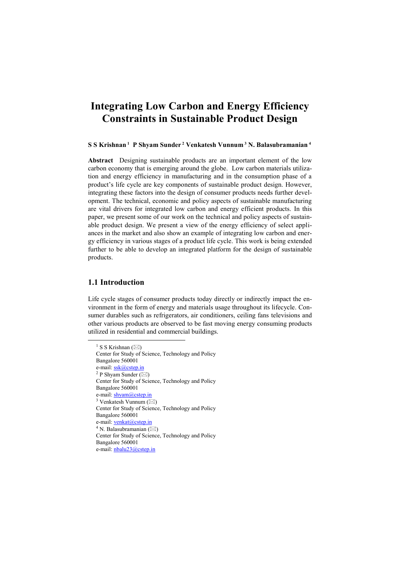#### **S S Krishnan <sup>1</sup> P Shyam Sunder <sup>2</sup> Venkatesh Vunnum <sup>3</sup> N. Balasubramanian <sup>4</sup>**

**Abstract** Designing sustainable products are an important element of the low carbon economy that is emerging around the globe. Low carbon materials utilization and energy efficiency in manufacturing and in the consumption phase of a product's life cycle are key components of sustainable product design. However, integrating these factors into the design of consumer products needs further development. The technical, economic and policy aspects of sustainable manufacturing are vital drivers for integrated low carbon and energy efficient products. In this paper, we present some of our work on the technical and policy aspects of sustainable product design. We present a view of the energy efficiency of select appliances in the market and also show an example of integrating low carbon and energy efficiency in various stages of a product life cycle. This work is being extended further to be able to develop an integrated platform for the design of sustainable products.

## **1.1 Introduction**

-

Life cycle stages of consumer products today directly or indirectly impact the environment in the form of energy and materials usage throughout its lifecycle. Consumer durables such as refrigerators, air conditioners, ceiling fans televisions and other various products are observed to be fast moving energy consuming products utilized in residential and commercial buildings.

 $1 S S$  Krishnan ( $\boxtimes$ ) Center for Study of Science, Technology and Policy Bangalore 560001 e-mail[: ssk@cstep.in](mailto:ssk@cstep.in)  $^2$  P Shyam Sunder  $(\boxtimes)$ Center for Study of Science, Technology and Policy Bangalore 560001 e-mail[: shyam@cstep.in](mailto:shyam@cstep.in) <sup>3</sup> Venkatesh Vunnum ( $\boxtimes$ ) Center for Study of Science, Technology and Policy Bangalore 560001 e-mail[: venkat@cstep.in](mailto:venkat@cstep.in)  $4$  N. Balasubramanian ( $\boxtimes$ ) Center for Study of Science, Technology and Policy Bangalore 560001 e-mail[: nbalu23@cstep.in](mailto:nbalu23@cstep.in)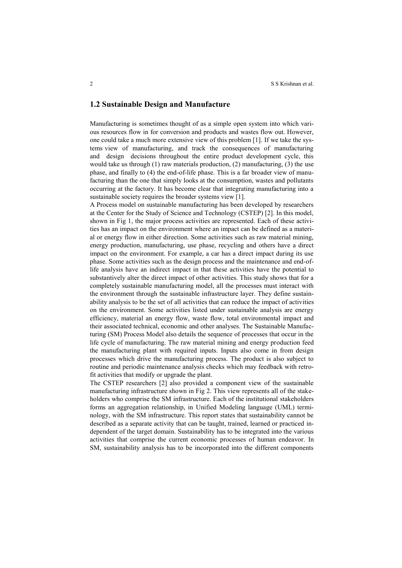### **1.2 Sustainable Design and Manufacture**

Manufacturing is sometimes thought of as a simple open system into which various resources flow in for conversion and products and wastes flow out. However, one could take a much more extensive view of this problem [1]. If we take the systems view of manufacturing, and track the consequences of manufacturing and design decisions throughout the entire product development cycle, this would take us through (1) raw materials production, (2) manufacturing, (3) the use phase, and finally to (4) the end-of-life phase. This is a far broader view of manufacturing than the one that simply looks at the consumption, wastes and pollutants occurring at the factory. It has become clear that integrating manufacturing into a sustainable society requires the broader systems view [1].

A Process model on sustainable manufacturing has been developed by researchers at the Center for the Study of Science and Technology (CSTEP) [2]. In this model, shown in Fig 1, the major process activities are represented. Each of these activities has an impact on the environment where an impact can be defined as a material or energy flow in either direction. Some activities such as raw material mining, energy production, manufacturing, use phase, recycling and others have a direct impact on the environment. For example, a car has a direct impact during its use phase. Some activities such as the design process and the maintenance and end-oflife analysis have an indirect impact in that these activities have the potential to substantively alter the direct impact of other activities. This study shows that for a completely sustainable manufacturing model, all the processes must interact with the environment through the sustainable infrastructure layer. They define sustainability analysis to be the set of all activities that can reduce the impact of activities on the environment. Some activities listed under sustainable analysis are energy efficiency, material an energy flow, waste flow, total environmental impact and their associated technical, economic and other analyses. The Sustainable Manufacturing (SM) Process Model also details the sequence of processes that occur in the life cycle of manufacturing. The raw material mining and energy production feed the manufacturing plant with required inputs. Inputs also come in from design processes which drive the manufacturing process. The product is also subject to routine and periodic maintenance analysis checks which may feedback with retrofit activities that modify or upgrade the plant.

The CSTEP researchers [2] also provided a component view of the sustainable manufacturing infrastructure shown in Fig 2. This view represents all of the stakeholders who comprise the SM infrastructure. Each of the institutional stakeholders forms an aggregation relationship, in Unified Modeling language (UML) terminology, with the SM infrastructure. This report states that sustainability cannot be described as a separate activity that can be taught, trained, learned or practiced independent of the target domain. Sustainability has to be integrated into the various activities that comprise the current economic processes of human endeavor. In SM, sustainability analysis has to be incorporated into the different components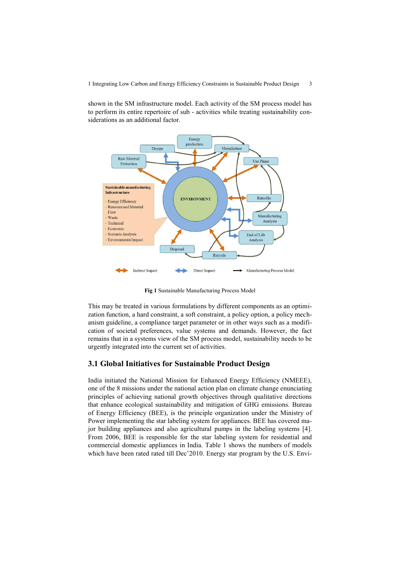shown in the SM infrastructure model. Each activity of the SM process model has to perform its entire repertoire of sub - activities while treating sustainability considerations as an additional factor.



**Fig 1** Sustainable Manufacturing Process Model

This may be treated in various formulations by different components as an optimization function, a hard constraint, a soft constraint, a policy option, a policy mechanism guideline, a compliance target parameter or in other ways such as a modification of societal preferences, value systems and demands. However, the fact remains that in a systems view of the SM process model, sustainability needs to be urgently integrated into the current set of activities.

### **3.1 Global Initiatives for Sustainable Product Design**

India initiated the National Mission for Enhanced Energy Efficiency (NMEEE), one of the 8 missions under the national action plan on climate change enunciating principles of achieving national growth objectives through qualitative directions that enhance ecological sustainability and mitigation of GHG emissions. Bureau of Energy Efficiency (BEE), is the principle organization under the Ministry of Power implementing the star labeling system for appliances. BEE has covered major building appliances and also agricultural pumps in the labeling systems [4]. From 2006, BEE is responsible for the star labeling system for residential and commercial domestic appliances in India. Table 1 shows the numbers of models which have been rated rated till Dec'2010. Energy star program by the U.S. Envi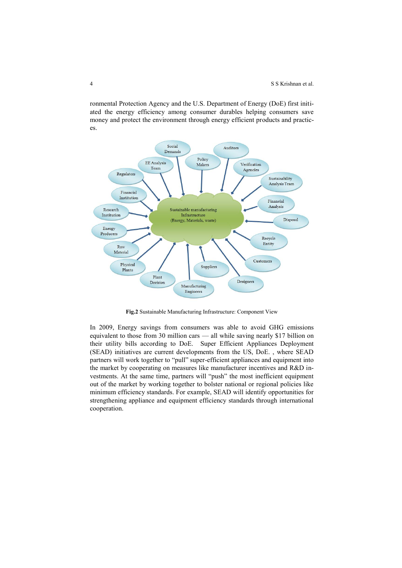ronmental Protection Agency and the U.S. Department of Energy (DoE) first initiated the energy efficiency among consumer durables helping consumers save money and protect the environment through energy efficient products and practices.



**Fig.2** Sustainable Manufacturing Infrastructure: Component View

In 2009, Energy savings from consumers was able to avoid GHG emissions equivalent to those from 30 million cars — all while saving nearly \$17 billion on their utility bills according to DoE. Super Efficient Appliances Deployment (SEAD) initiatives are current developments from the US, DoE. , where SEAD partners will work together to "pull" super-efficient appliances and equipment into the market by cooperating on measures like manufacturer incentives and R&D investments. At the same time, partners will "push" the most inefficient equipment out of the market by working together to bolster national or regional policies like minimum efficiency standards. For example, SEAD will identify opportunities for strengthening appliance and equipment efficiency standards through international cooperation.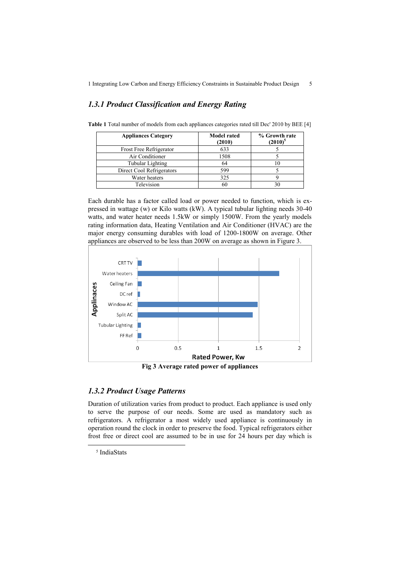## *1.3.1 Product Classification and Energy Rating*

| <b>Appliances Category</b> | <b>Model rated</b><br>(2010) | % Growth rate<br>$(2010)^5$ |
|----------------------------|------------------------------|-----------------------------|
| Frost Free Refrigerator    | 633                          |                             |
| Air Conditioner            | 1508                         |                             |
| Tubular Lighting           | 64                           |                             |
| Direct Cool Refrigerators  | 599                          |                             |
| Water heaters              | 325                          |                             |
| Television                 | 60                           |                             |

**Table 1** Total number of models from each appliances categories rated till Dec' 2010 by BEE [4]

Each durable has a factor called load or power needed to function, which is expressed in wattage (w) or Kilo watts (kW). A typical tubular lighting needs 30-40 watts, and water heater needs 1.5kW or simply 1500W. From the yearly models rating information data, Heating Ventilation and Air Conditioner (HVAC) are the major energy consuming durables with load of 1200-1800W on average. Other appliances are observed to be less than 200W on average as shown in Figure 3.



**Fig 3 Average rated power of appliances**

## *1.3.2 Product Usage Patterns*

Duration of utilization varies from product to product. Each appliance is used only to serve the purpose of our needs. Some are used as mandatory such as refrigerators. A refrigerator a most widely used appliance is continuously in operation round the clock in order to preserve the food. Typical refrigerators either frost free or direct cool are assumed to be in use for 24 hours per day which is

 $\overline{a}$ 

<sup>5</sup> IndiaStats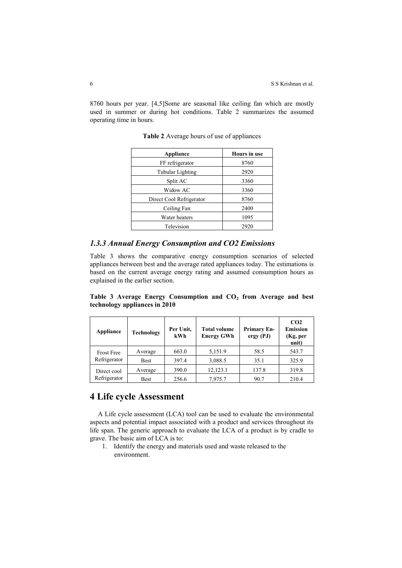8760 hours per year. [4,5]Some are seasonal like ceiling fan which are mostly used in summer or during hot conditions. Table 2 summarizes the assumed operating time in hours.

| Appliance                | Hours in use |  |  |
|--------------------------|--------------|--|--|
| FF refrigerator          | 8760         |  |  |
| Tubular Lighting         | 2920         |  |  |
| Split AC                 | 3360         |  |  |
| Widow AC                 | 3360         |  |  |
| Direct Cool Refrigerator | 8760         |  |  |
| Ceiling Fan              | 2400         |  |  |
| Water heaters            | 1095         |  |  |
| Television               | 2920         |  |  |

**Table 2** Average hours of use of appliances

## *1.3.3 Annual Energy Consumption and CO2 Emissions*

Table 3 shows the comparative energy consumption scenarios of selected appliances between best and the average rated appliances today. The estimations is based on the current average energy rating and assumed consumption hours as explained in the earlier section.

**Table 3 Average Energy Consumption and CO<sup>2</sup> from Average and best technology appliances in 2010**

| Appliance                         | Technology  | Per Unit.<br>kWh | <b>Total volume</b><br><b>Energy GWh</b> | <b>Primary En-</b><br>ergy(PJ) | CO <sub>2</sub><br><b>Emission</b><br>(Kg, per<br>unit) |
|-----------------------------------|-------------|------------------|------------------------------------------|--------------------------------|---------------------------------------------------------|
| <b>Frost Free</b><br>Refrigerator | Average     | 663.0            | 5,151.9                                  | 58.5                           | 543.7                                                   |
|                                   | <b>Best</b> | 397.4            | 3,088.5                                  | 35.1                           | 325.9                                                   |
| Direct cool<br>Refrigerator       | Average     | 390.0            | 12,123.1                                 | 137.8                          | 319.8                                                   |
|                                   | <b>Best</b> | 256.6            | 7,975.7                                  | 90.7                           | 210.4                                                   |

## **4 Life cycle Assessment**

A Life cycle assessment (LCA) tool can be used to evaluate the environmental aspects and potential impact associated with a product and services throughout its life span. The generic approach to evaluate the LCA of a product is by cradle to grave. The basic aim of LCA is to:

1. Identify the energy and materials used and waste released to the environment.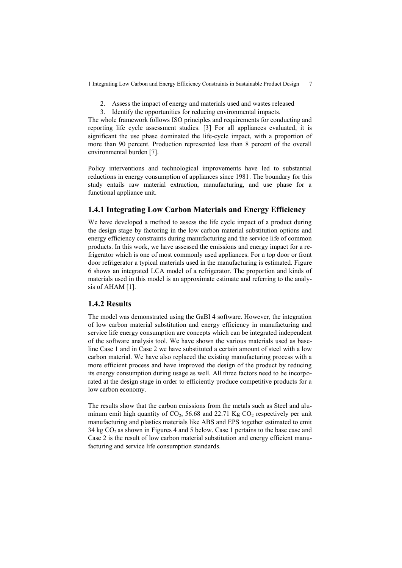- 2. Assess the impact of energy and materials used and wastes released
- 3. Identify the opportunities for reducing environmental impacts.

The whole framework follows ISO principles and requirements for conducting and reporting life cycle assessment studies. [3] For all appliances evaluated, it is significant the use phase dominated the life-cycle impact, with a proportion of more than 90 percent. Production represented less than 8 percent of the overall environmental burden [7].

Policy interventions and technological improvements have led to substantial reductions in energy consumption of appliances since 1981. The boundary for this study entails raw material extraction, manufacturing, and use phase for a functional appliance unit.

## **1.4.1 Integrating Low Carbon Materials and Energy Efficiency**

We have developed a method to assess the life cycle impact of a product during the design stage by factoring in the low carbon material substitution options and energy efficiency constraints during manufacturing and the service life of common products. In this work, we have assessed the emissions and energy impact for a refrigerator which is one of most commonly used appliances. For a top door or front door refrigerator a typical materials used in the manufacturing is estimated. Figure 6 shows an integrated LCA model of a refrigerator. The proportion and kinds of materials used in this model is an approximate estimate and referring to the analysis of AHAM [1].

#### **1.4.2 Results**

The model was demonstrated using the GaBI 4 software. However, the integration of low carbon material substitution and energy efficiency in manufacturing and service life energy consumption are concepts which can be integrated independent of the software analysis tool. We have shown the various materials used as baseline Case 1 and in Case 2 we have substituted a certain amount of steel with a low carbon material. We have also replaced the existing manufacturing process with a more efficient process and have improved the design of the product by reducing its energy consumption during usage as well. All three factors need to be incorporated at the design stage in order to efficiently produce competitive products for a low carbon economy.

The results show that the carbon emissions from the metals such as Steel and aluminum emit high quantity of  $CO<sub>2</sub>$ , 56.68 and 22.71 Kg  $CO<sub>2</sub>$  respectively per unit manufacturing and plastics materials like ABS and EPS together estimated to emit  $34 \text{ kg CO}_2$  as shown in Figures 4 and 5 below. Case 1 pertains to the base case and Case 2 is the result of low carbon material substitution and energy efficient manufacturing and service life consumption standards.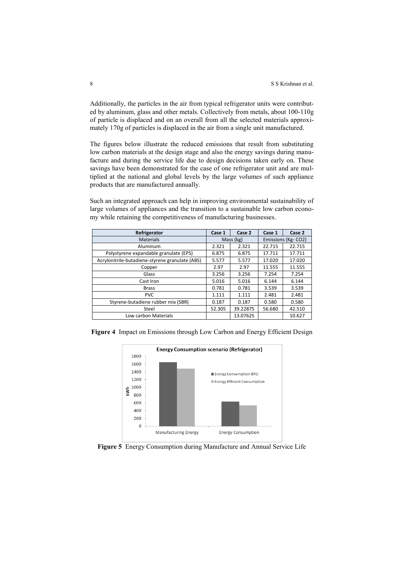Additionally, the particles in the air from typical refrigerator units were contributed by aluminum, glass and other metals. Collectively from metals, about 100-110g of particle is displaced and on an overall from all the selected materials approximately 170g of particles is displaced in the air from a single unit manufactured.

The figures below illustrate the reduced emissions that result from substituting low carbon materials at the design stage and also the energy savings during manufacture and during the service life due to design decisions taken early on. These savings have been demonstrated for the case of one refrigerator unit and are multiplied at the national and global levels by the large volumes of such appliance products that are manufactured annually.

Such an integrated approach can help in improving environmental sustainability of large volumes of appliances and the transition to a sustainable low carbon economy while retaining the competitiveness of manufacturing businesses.

| Refrigerator                                    | Case 1    | Case 2   | Case 1             | Case 2 |
|-------------------------------------------------|-----------|----------|--------------------|--------|
| <b>Materials</b>                                | Mass (kg) |          | Emissions (Kg-CO2) |        |
| Aluminum                                        | 2.321     | 2.321    | 22.715             | 22.715 |
| Polystyrene expandable granulate (EPS)          | 6.875     | 6.875    | 17.711             | 17.711 |
| Acrylonitrile-butadiene-styrene granulate (ABS) | 5.577     | 5.577    | 17.020             | 17.020 |
| Copper                                          | 2.97      | 2.97     | 11.555             | 11.555 |
| Glass                                           | 3.256     | 3.256    | 7.254              | 7.254  |
| Cast Iron                                       | 5.016     | 5.016    | 6.144              | 6.144  |
| <b>Brass</b>                                    | 0.781     | 0.781    | 3.539              | 3.539  |
| <b>PVC</b>                                      | 1.111     | 1.111    | 2.481              | 2.481  |
| Styrene-butadiene rubber mix (SBR)              | 0.187     | 0.187    | 0.580              | 0.580  |
| Steel                                           | 52.305    | 39.22875 | 56.680             | 42.510 |
| Low carbon Materials                            |           | 13.07625 |                    | 10.627 |

**Figure 4** Impact on Emissions through Low Carbon and Energy Efficient Design



**Figure 5** Energy Consumption during Manufacture and Annual Service Life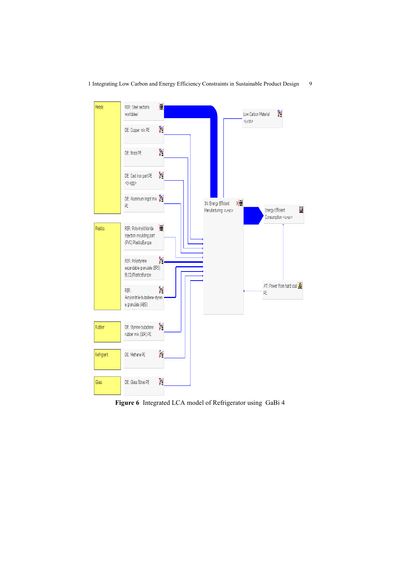

**Figure 6** Integrated LCA model of Refrigerator using GaBi 4